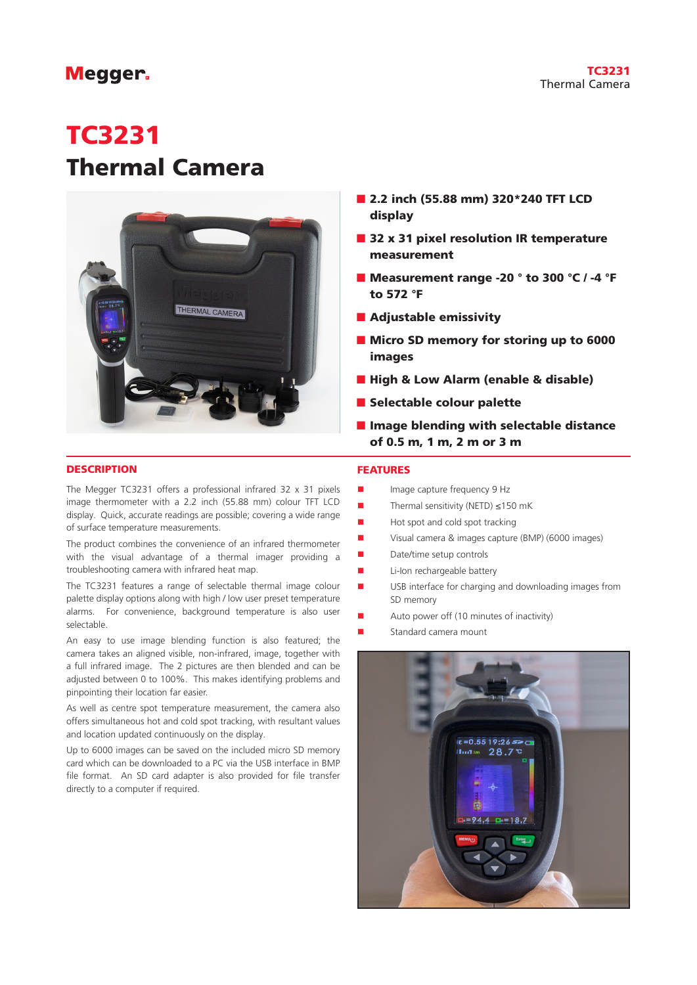## TC3231 Thermal Camera

# **Megger**

# TC3231 Thermal Camera



- 2.2 inch (55.88 mm) 320\*240 TFT LCD display
- 32 x 31 pixel resolution IR temperature measurement
- Measurement range -20 ° to 300 °C / -4 °F to 572 °F
- Adjustable emissivity
- Micro SD memory for storing up to 6000 images
- High & Low Alarm (enable & disable)
- Selectable colour palette
- Image blending with selectable distance of 0.5 m, 1 m, 2 m or 3 m

#### **DESCRIPTION**

The Megger TC3231 offers a professional infrared 32 x 31 pixels image thermometer with a 2.2 inch (55.88 mm) colour TFT LCD display. Quick, accurate readings are possible; covering a wide range of surface temperature measurements.

The product combines the convenience of an infrared thermometer with the visual advantage of a thermal imager providing a troubleshooting camera with infrared heat map.

The TC3231 features a range of selectable thermal image colour palette display options along with high / low user preset temperature alarms. For convenience, background temperature is also user selectable.

An easy to use image blending function is also featured; the camera takes an aligned visible, non-infrared, image, together with a full infrared image. The 2 pictures are then blended and can be adjusted between 0 to 100%. This makes identifying problems and pinpointing their location far easier.

As well as centre spot temperature measurement, the camera also offers simultaneous hot and cold spot tracking, with resultant values and location updated continuously on the display.

Up to 6000 images can be saved on the included micro SD memory card which can be downloaded to a PC via the USB interface in BMP file format. An SD card adapter is also provided for file transfer directly to a computer if required.

#### FEATURES

- Image capture frequency 9 Hz
- $\blacksquare$  Thermal sensitivity (NETD) ≤150 mK
- $\blacksquare$  Hot spot and cold spot tracking
- Visual camera & images capture (BMP) (6000 images)
- $\blacksquare$  Date/time setup controls
- **n** Li-Ion rechargeable battery
- USB interface for charging and downloading images from SD memory
- Auto power off (10 minutes of inactivity)
- Standard camera mount